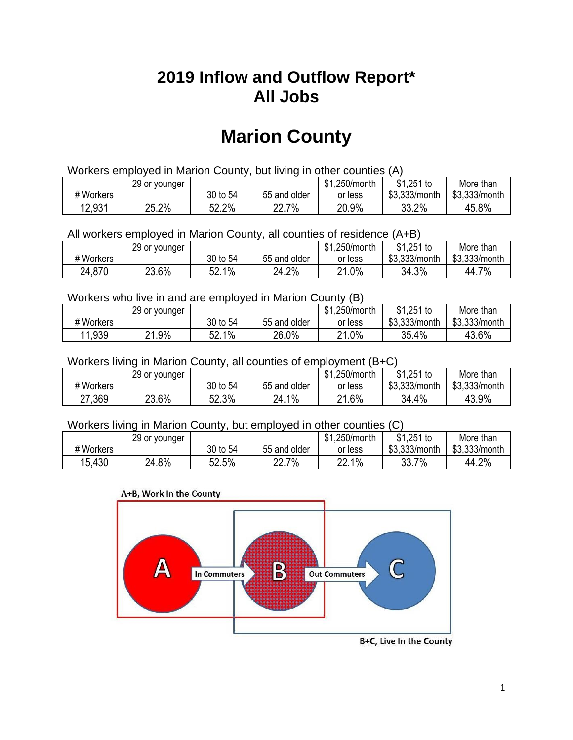## **2019 Inflow and Outflow Report\* All Jobs**

# **Marion County**

| Workers employed in Marion County, but living in other counties (A) |                                                           |          |              |         |               |               |  |  |  |
|---------------------------------------------------------------------|-----------------------------------------------------------|----------|--------------|---------|---------------|---------------|--|--|--|
|                                                                     | \$1.251 to<br>\$1.250/month<br>More than<br>29 or younger |          |              |         |               |               |  |  |  |
| # Workers                                                           |                                                           | 30 to 54 | 55 and older | or less | \$3.333/month | \$3,333/month |  |  |  |
| 12,931                                                              | 25.2%                                                     | 52.2%    | 22.7%        | 20.9%   | 33.2%         | 45.8%         |  |  |  |

All workers employed in Marion County, all counties of residence (A+B)

|           | 29 or younger |          |              | \$1,250/month | \$1,251 to    | More than     |
|-----------|---------------|----------|--------------|---------------|---------------|---------------|
| # Workers |               | 30 to 54 | 55 and older | or less       | \$3,333/month | \$3,333/month |
| 24,870    | 23.6%         | 52.1%    | 24.2%        | 21.0%         | 34.3%         | 44.7%         |

#### Workers who live in and are employed in Marion County (B)

|           | 29 or younger  |                       |              | \$1,250/month | $$1,251$ to   | More than     |
|-----------|----------------|-----------------------|--------------|---------------|---------------|---------------|
| # Workers |                | 30 to 54              | 55 and older | or less       | \$3,333/month | \$3,333/month |
| 11,939    | $.9\%$<br>ິດ 4 | $1\%$<br>гη<br>:JZ. 1 | 26.0%        | 21.0%         | 35.4%         | 43.6%         |

#### Workers living in Marion County, all counties of employment (B+C)

|           | 29 or younger |          |              | \$1,250/month | \$1,251 to    | More than     |
|-----------|---------------|----------|--------------|---------------|---------------|---------------|
| # Workers |               | 30 to 54 | 55 and older | or less       | \$3,333/month | \$3,333/month |
| 27,369    | 23.6%         | 52.3%    | 24.1%        | 21.6%         | 34.4%         | 43.9%         |

#### Workers living in Marion County, but employed in other counties (C)

|           | 29 or younger |          |              | \$1,250/month | $$1,251$ to   | More than     |
|-----------|---------------|----------|--------------|---------------|---------------|---------------|
| # Workers |               | 30 to 54 | 55 and older | or less       | \$3,333/month | \$3,333/month |
| 15,430    | 24.8%         | 52.5%    | 7%<br>າາ     | 22.1%         | 33.7<br>7%    | 44.2%         |





B+C, Live In the County